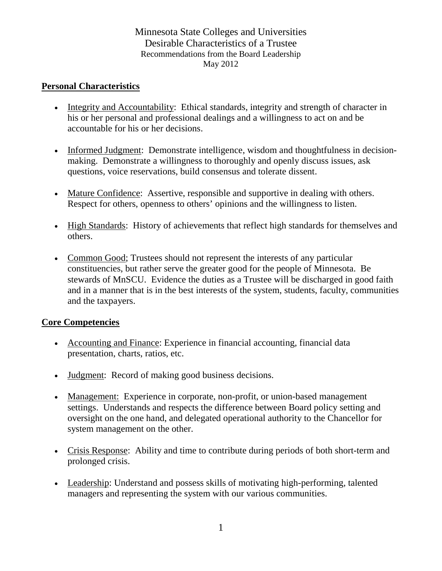## Minnesota State Colleges and Universities Desirable Characteristics of a Trustee Recommendations from the Board Leadership May 2012

#### **Personal Characteristics**

- Integrity and Accountability: Ethical standards, integrity and strength of character in his or her personal and professional dealings and a willingness to act on and be accountable for his or her decisions.
- Informed Judgment: Demonstrate intelligence, wisdom and thoughtfulness in decisionmaking. Demonstrate a willingness to thoroughly and openly discuss issues, ask questions, voice reservations, build consensus and tolerate dissent.
- Mature Confidence: Assertive, responsible and supportive in dealing with others. Respect for others, openness to others' opinions and the willingness to listen.
- High Standards: History of achievements that reflect high standards for themselves and others.
- Common Good; Trustees should not represent the interests of any particular constituencies, but rather serve the greater good for the people of Minnesota. Be stewards of MnSCU. Evidence the duties as a Trustee will be discharged in good faith and in a manner that is in the best interests of the system, students, faculty, communities and the taxpayers.

### **Core Competencies**

- Accounting and Finance: Experience in financial accounting, financial data presentation, charts, ratios, etc.
- Judgment: Record of making good business decisions.
- Management: Experience in corporate, non-profit, or union-based management settings. Understands and respects the difference between Board policy setting and oversight on the one hand, and delegated operational authority to the Chancellor for system management on the other.
- Crisis Response: Ability and time to contribute during periods of both short-term and prolonged crisis.
- Leadership: Understand and possess skills of motivating high-performing, talented managers and representing the system with our various communities.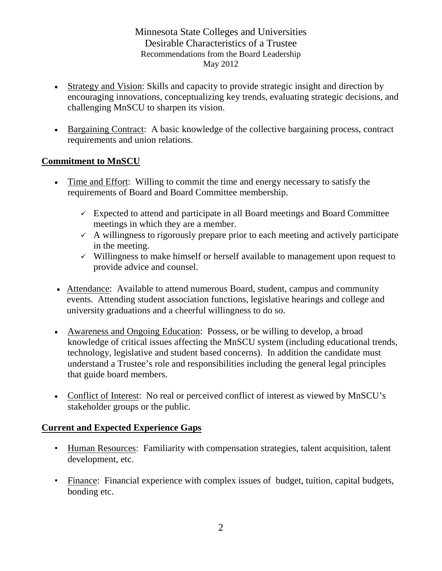Minnesota State Colleges and Universities Desirable Characteristics of a Trustee Recommendations from the Board Leadership May 2012

- Strategy and Vision: Skills and capacity to provide strategic insight and direction by encouraging innovations, conceptualizing key trends, evaluating strategic decisions, and challenging MnSCU to sharpen its vision.
- Bargaining Contract: A basic knowledge of the collective bargaining process, contract requirements and union relations.

## **Commitment to MnSCU**

- Time and Effort: Willing to commit the time and energy necessary to satisfy the requirements of Board and Board Committee membership.
	- $\checkmark$  Expected to attend and participate in all Board meetings and Board Committee meetings in which they are a member.
	- $\sim$  A willingness to rigorously prepare prior to each meeting and actively participate in the meeting.
	- $\checkmark$  Willingness to make himself or herself available to management upon request to provide advice and counsel.
- Attendance: Available to attend numerous Board, student, campus and community events. Attending student association functions, legislative hearings and college and university graduations and a cheerful willingness to do so.
- Awareness and Ongoing Education: Possess, or be willing to develop, a broad knowledge of critical issues affecting the MnSCU system (including educational trends, technology, legislative and student based concerns). In addition the candidate must understand a Trustee's role and responsibilities including the general legal principles that guide board members.
- Conflict of Interest: No real or perceived conflict of interest as viewed by MnSCU's stakeholder groups or the public.

# **Current and Expected Experience Gaps**

- Human Resources: Familiarity with compensation strategies, talent acquisition, talent development, etc.
- Finance: Financial experience with complex issues of budget, tuition, capital budgets, bonding etc.